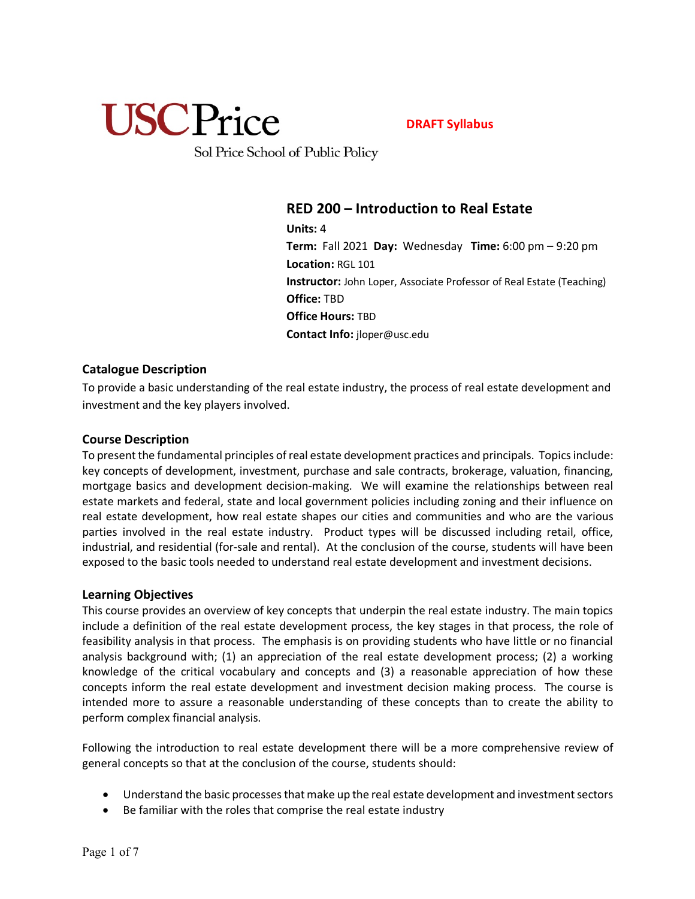

**DRAFT Syllabus**

Sol Price School of Public Policy

## **RED 200 – Introduction to Real Estate**

**Units:** 4 **Term:** Fall 2021 **Day:** Wednesday **Time:** 6:00 pm – 9:20 pm **Location:** RGL 101 **Instructor:** John Loper, Associate Professor of Real Estate (Teaching) **Office:** TBD **Office Hours:** TBD **Contact Info:** jloper@usc.edu

## **Catalogue Description**

To provide a basic understanding of the real estate industry, the process of real estate development and investment and the key players involved.

## **Course Description**

To present the fundamental principles of real estate development practices and principals. Topics include: key concepts of development, investment, purchase and sale contracts, brokerage, valuation, financing, mortgage basics and development decision-making. We will examine the relationships between real estate markets and federal, state and local government policies including zoning and their influence on real estate development, how real estate shapes our cities and communities and who are the various parties involved in the real estate industry. Product types will be discussed including retail, office, industrial, and residential (for-sale and rental). At the conclusion of the course, students will have been exposed to the basic tools needed to understand real estate development and investment decisions.

### **Learning Objectives**

This course provides an overview of key concepts that underpin the real estate industry. The main topics include a definition of the real estate development process, the key stages in that process, the role of feasibility analysis in that process. The emphasis is on providing students who have little or no financial analysis background with; (1) an appreciation of the real estate development process; (2) a working knowledge of the critical vocabulary and concepts and (3) a reasonable appreciation of how these concepts inform the real estate development and investment decision making process. The course is intended more to assure a reasonable understanding of these concepts than to create the ability to perform complex financial analysis.

Following the introduction to real estate development there will be a more comprehensive review of general concepts so that at the conclusion of the course, students should:

- Understand the basic processes that make up the real estate development and investment sectors
- Be familiar with the roles that comprise the real estate industry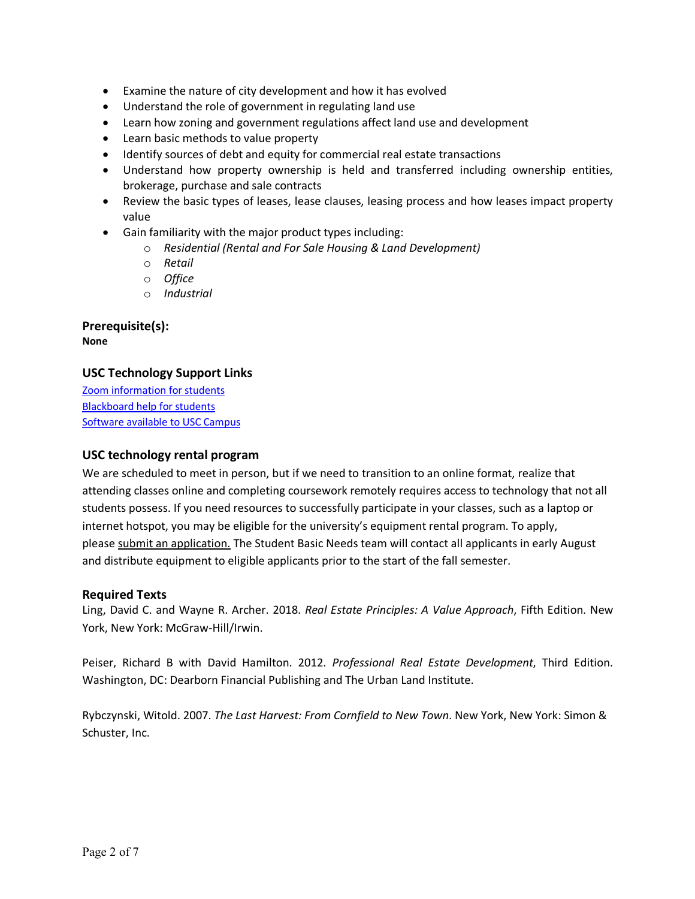- Examine the nature of city development and how it has evolved
- Understand the role of government in regulating land use
- Learn how zoning and government regulations affect land use and development
- Learn basic methods to value property
- Identify sources of debt and equity for commercial real estate transactions
- Understand how property ownership is held and transferred including ownership entities, brokerage, purchase and sale contracts
- Review the basic types of leases, lease clauses, leasing process and how leases impact property value
- Gain familiarity with the major product types including:
	- o *Residential (Rental and For Sale Housing & Land Development)*
	- o *Retail*
	- o *Office*
	- o *Industrial*

**Prerequisite(s): None**

## **USC Technology Support Links**

Zoom information for students Blackboard help for students Software available to USC Campus

## **USC technology rental program**

We are scheduled to meet in person, but if we need to transition to an online format, realize that attending classes online and completing coursework remotely requires access to technology that not all students possess. If you need resources to successfully participate in your classes, such as a laptop or internet hotspot, you may be eligible for the university's equipment rental program. To apply, please submit an application. The Student Basic Needs team will contact all applicants in early August and distribute equipment to eligible applicants prior to the start of the fall semester.

### **Required Texts**

Ling, David C. and Wayne R. Archer. 2018. *Real Estate Principles: A Value Approach*, Fifth Edition. New York, New York: McGraw-Hill/Irwin.

Peiser, Richard B with David Hamilton. 2012. *Professional Real Estate Development*, Third Edition. Washington, DC: Dearborn Financial Publishing and The Urban Land Institute.

Rybczynski, Witold. 2007. *The Last Harvest: From Cornfield to New Town*. New York, New York: Simon & Schuster, Inc.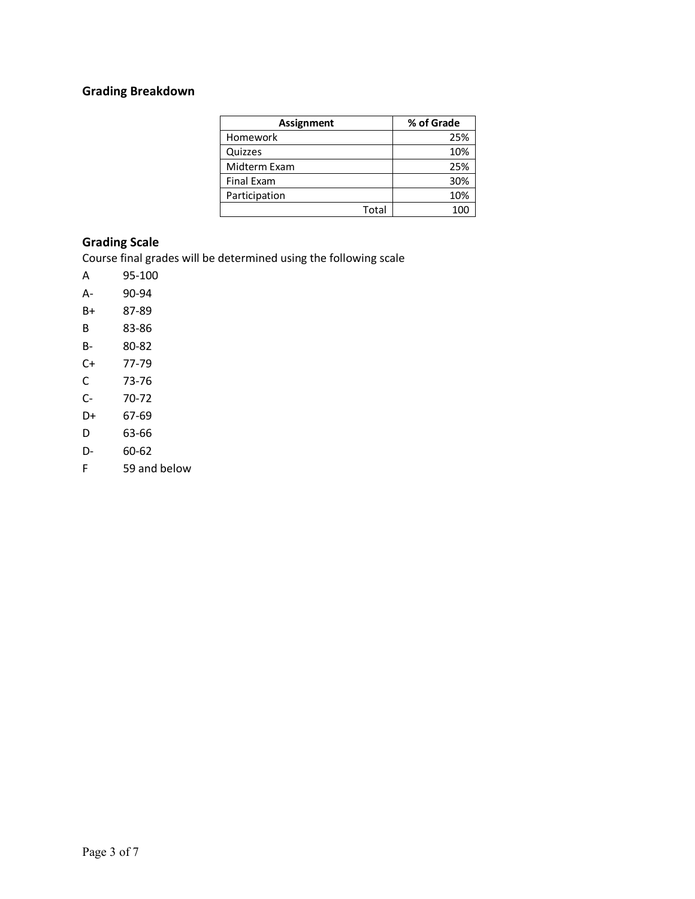# **Grading Breakdown**

| <b>Assignment</b> | % of Grade |
|-------------------|------------|
| Homework          | 25%        |
| Quizzes           | 10%        |
| Midterm Exam      | 25%        |
| <b>Final Exam</b> | 30%        |
| Participation     | 10%        |
| Total             |            |

## **Grading Scale**

Course final grades will be determined using the following scale

- A 95-100
- A- 90-94
- B+ 87-89
- B 83-86
- B- 80-82
- C+ 77-79
- C 73-76
- C- 70-72
- D+ 67-69
- D 63-66
- D- 60-62
- F 59 and below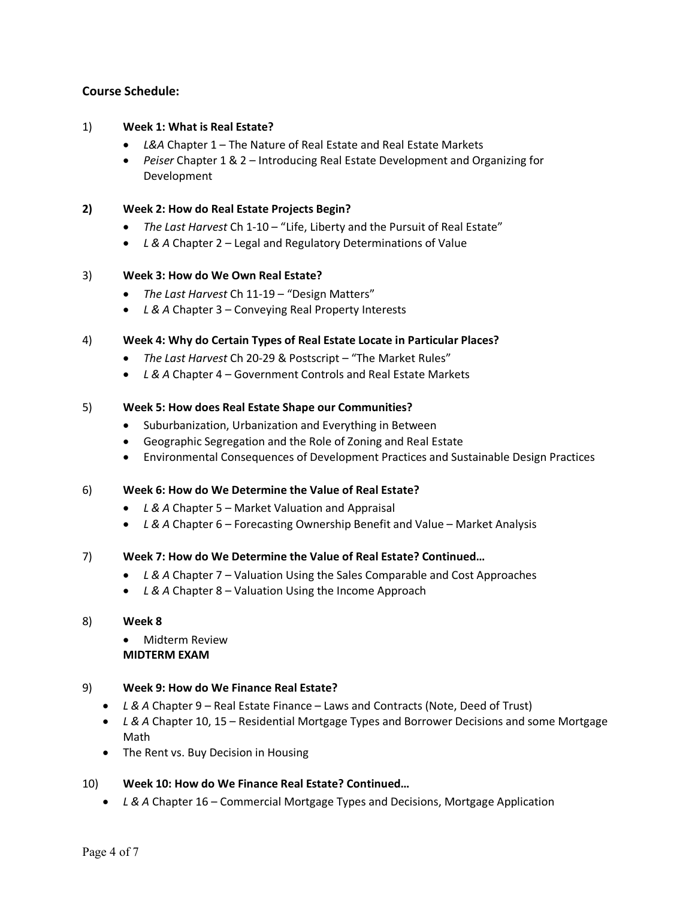## **Course Schedule:**

#### 1) **Week 1: What is Real Estate?**

- *L&A* Chapter 1 The Nature of Real Estate and Real Estate Markets
- *Peiser* Chapter 1 & 2 Introducing Real Estate Development and Organizing for Development
- **2) Week 2: How do Real Estate Projects Begin?**
	- *The Last Harvest* Ch 1-10 "Life, Liberty and the Pursuit of Real Estate"
	- *L & A* Chapter 2 Legal and Regulatory Determinations of Value

#### 3) **Week 3: How do We Own Real Estate?**

- *The Last Harvest* Ch 11-19 "Design Matters"
- *L & A* Chapter 3 Conveying Real Property Interests

#### 4) **Week 4: Why do Certain Types of Real Estate Locate in Particular Places?**

- *The Last Harvest* Ch 20-29 & Postscript "The Market Rules"
- *L & A* Chapter 4 Government Controls and Real Estate Markets

#### 5) **Week 5: How does Real Estate Shape our Communities?**

- Suburbanization, Urbanization and Everything in Between
- Geographic Segregation and the Role of Zoning and Real Estate
- Environmental Consequences of Development Practices and Sustainable Design Practices

### 6) **Week 6: How do We Determine the Value of Real Estate?**

- *L & A* Chapter 5 Market Valuation and Appraisal
- *L & A* Chapter 6 Forecasting Ownership Benefit and Value Market Analysis

#### 7) **Week 7: How do We Determine the Value of Real Estate? Continued…**

- *L & A* Chapter 7 Valuation Using the Sales Comparable and Cost Approaches
- *L & A* Chapter 8 Valuation Using the Income Approach

#### 8) **Week 8**

• Midterm Review **MIDTERM EXAM**

### 9) **Week 9: How do We Finance Real Estate?**

- *L & A* Chapter 9 Real Estate Finance Laws and Contracts (Note, Deed of Trust)
- *L & A* Chapter 10, 15 Residential Mortgage Types and Borrower Decisions and some Mortgage Math
- The Rent vs. Buy Decision in Housing

## 10) **Week 10: How do We Finance Real Estate? Continued…**

• *L & A* Chapter 16 – Commercial Mortgage Types and Decisions, Mortgage Application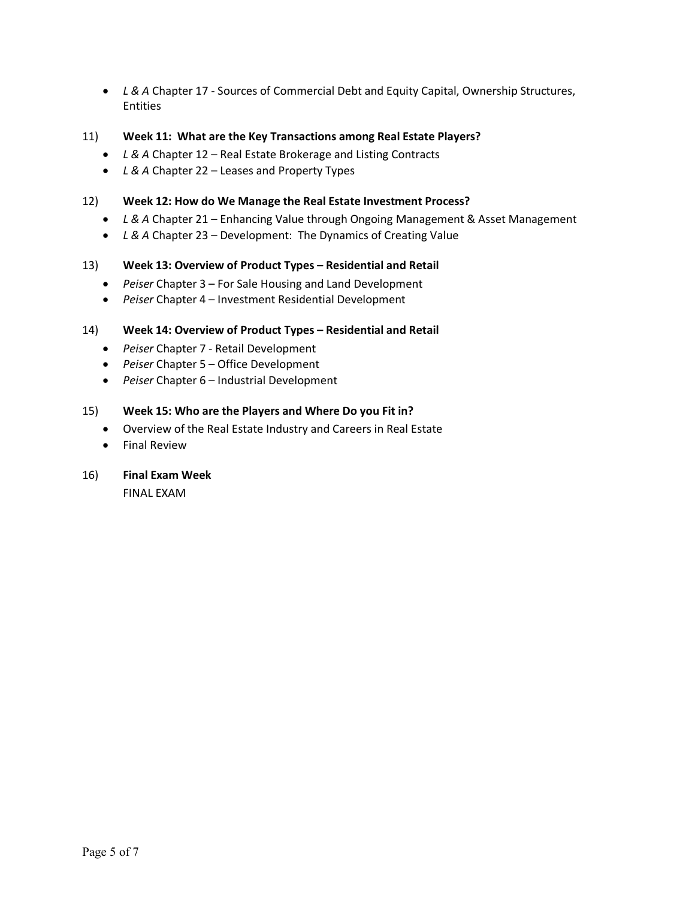- *L & A* Chapter 17 Sources of Commercial Debt and Equity Capital, Ownership Structures, Entities
- 11) **Week 11: What are the Key Transactions among Real Estate Players?**
	- *L & A* Chapter 12 Real Estate Brokerage and Listing Contracts
	- *L & A* Chapter 22 Leases and Property Types

## 12) **Week 12: How do We Manage the Real Estate Investment Process?**

- *L & A* Chapter 21 Enhancing Value through Ongoing Management & Asset Management
- *L & A* Chapter 23 Development: The Dynamics of Creating Value

### 13) **Week 13: Overview of Product Types – Residential and Retail**

- *Peiser* Chapter 3 For Sale Housing and Land Development
- *Peiser* Chapter 4 Investment Residential Development

## 14) **Week 14: Overview of Product Types – Residential and Retail**

- *Peiser* Chapter 7 Retail Development
- *Peiser* Chapter 5 Office Development
- *Peiser* Chapter 6 Industrial Development

### 15) **Week 15: Who are the Players and Where Do you Fit in?**

- Overview of the Real Estate Industry and Careers in Real Estate
- Final Review
- 16) **Final Exam Week**

FINAL EXAM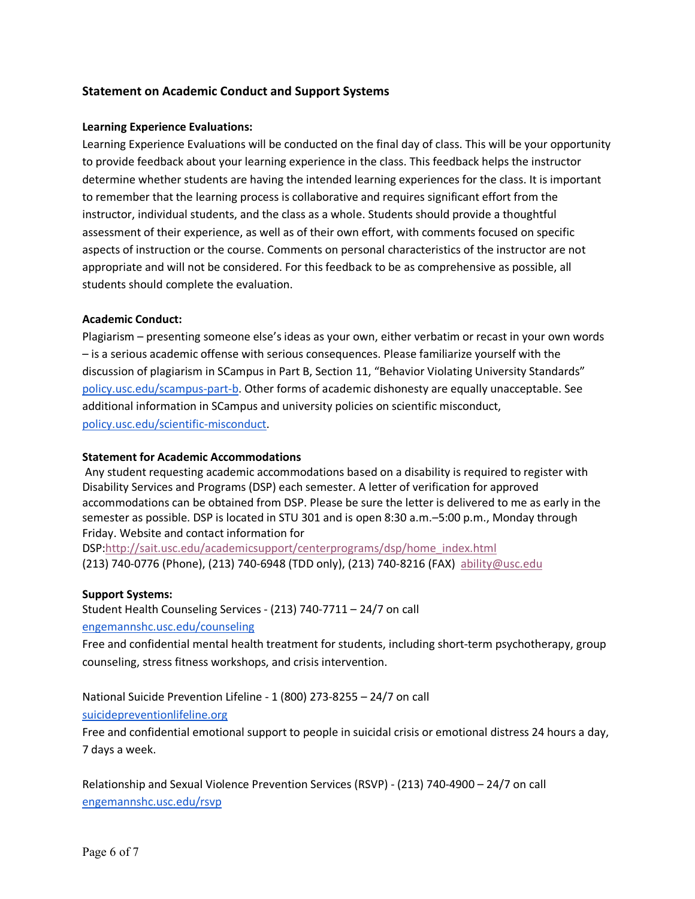## **Statement on Academic Conduct and Support Systems**

#### **Learning Experience Evaluations:**

Learning Experience Evaluations will be conducted on the final day of class. This will be your opportunity to provide feedback about your learning experience in the class. This feedback helps the instructor determine whether students are having the intended learning experiences for the class. It is important to remember that the learning process is collaborative and requires significant effort from the instructor, individual students, and the class as a whole. Students should provide a thoughtful assessment of their experience, as well as of their own effort, with comments focused on specific aspects of instruction or the course. Comments on personal characteristics of the instructor are not appropriate and will not be considered. For this feedback to be as comprehensive as possible, all students should complete the evaluation.

#### **Academic Conduct:**

Plagiarism – presenting someone else's ideas as your own, either verbatim or recast in your own words – is a serious academic offense with serious consequences. Please familiarize yourself with the discussion of plagiarism in SCampus in Part B, Section 11, "Behavior Violating University Standards" policy.usc.edu/scampus-part-b. Other forms of academic dishonesty are equally unacceptable. See additional information in SCampus and university policies on scientific misconduct, policy.usc.edu/scientific-misconduct.

#### **Statement for Academic Accommodations**

Any student requesting academic accommodations based on a disability is required to register with Disability Services and Programs (DSP) each semester. A letter of verification for approved accommodations can be obtained from DSP. Please be sure the letter is delivered to me as early in the semester as possible. DSP is located in STU 301 and is open 8:30 a.m.–5:00 p.m., Monday through Friday. Website and contact information for

DSP:http://sait.usc.edu/academicsupport/centerprograms/dsp/home\_index.html (213) 740-0776 (Phone), (213) 740-6948 (TDD only), (213) 740-8216 (FAX) ability@usc.edu

#### **Support Systems:**

Student Health Counseling Services - (213) 740-7711 – 24/7 on call engemannshc.usc.edu/counseling

Free and confidential mental health treatment for students, including short-term psychotherapy, group counseling, stress fitness workshops, and crisis intervention.

National Suicide Prevention Lifeline - 1 (800) 273-8255 – 24/7 on call

suicidepreventionlifeline.org

Free and confidential emotional support to people in suicidal crisis or emotional distress 24 hours a day, 7 days a week.

Relationship and Sexual Violence Prevention Services (RSVP) - (213) 740-4900 – 24/7 on call engemannshc.usc.edu/rsvp